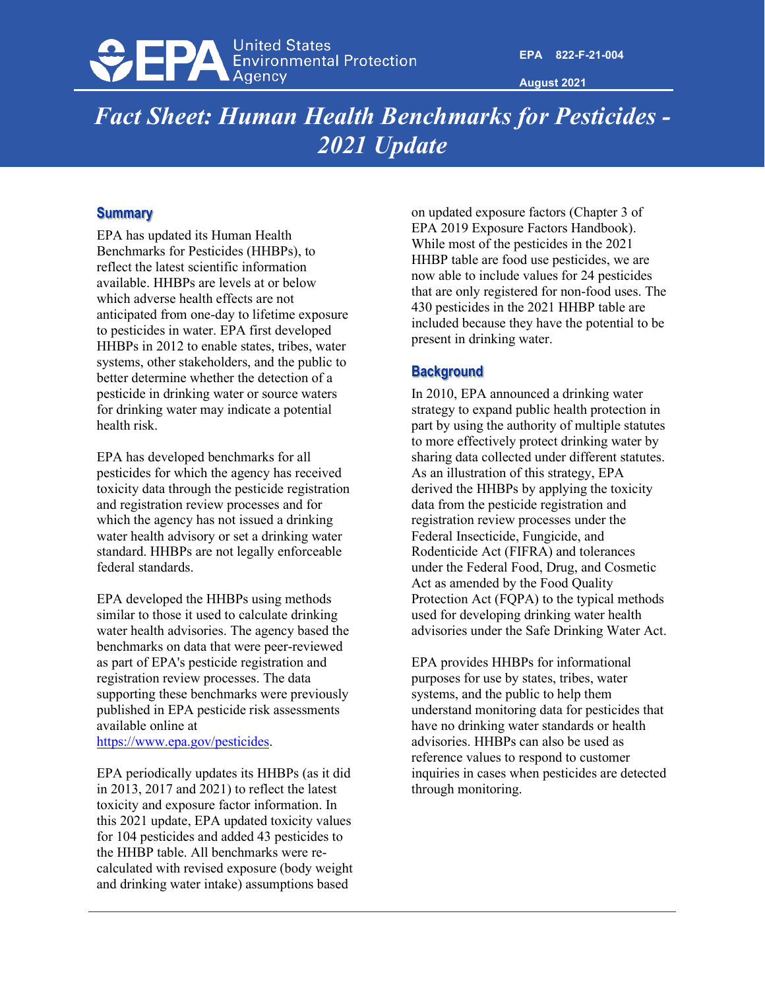

**August 2021**

# *Fact Sheet: Human Health Benchmarks for Pesticides - 2021 Update*

#### **Summary**

EPA has updated its Human Health Benchmarks for Pesticides (HHBPs), to reflect the latest scientific information available. HHBPs are levels at or below which adverse health effects are not anticipated from one-day to lifetime exposure to pesticides in water. EPA first developed HHBPs in 2012 to enable states, tribes, water systems, other stakeholders, and the public to better determine whether the detection of a pesticide in drinking water or source waters for drinking water may indicate a potential health risk.

EPA has developed benchmarks for all pesticides for which the agency has received toxicity data through the pesticide registration and registration review processes and for which the agency has not issued a drinking water health advisory or set a drinking water standard. HHBPs are not legally enforceable federal standards.

EPA developed the HHBPs using methods similar to those it used to calculate drinking water health advisories. The agency based the benchmarks on data that were peer-reviewed as part of EPA's pesticide registration and registration review processes. The data supporting these benchmarks were previously published in EPA pesticide risk assessments available online at

[https://www.epa.gov/pesticides.](https://www.epa.gov/pesticides)

EPA periodically updates its HHBPs (as it did in 2013, 2017 and 2021) to reflect the latest toxicity and exposure factor information. In this 2021 update, EPA updated toxicity values for 104 pesticides and added 43 pesticides to the HHBP table. All benchmarks were recalculated with revised exposure (body weight and drinking water intake) assumptions based

on updated exposure factors (Chapter 3 of EPA 2019 Exposure Factors Handbook). While most of the pesticides in the 2021 HHBP table are food use pesticides, we are now able to include values for 24 pesticides that are only registered for non-food uses. The 430 pesticides in the 2021 HHBP table are included because they have the potential to be present in drinking water.

## **Background**

In 2010, EPA announced a drinking water strategy to expand public health protection in part by using the authority of multiple statutes to more effectively protect drinking water by sharing data collected under different statutes. As an illustration of this strategy, EPA derived the HHBPs by applying the toxicity data from the pesticide registration and registration review processes under the Federal Insecticide, Fungicide, and Rodenticide Act (FIFRA) and tolerances under the Federal Food, Drug, and Cosmetic Act as amended by the Food Quality Protection Act (FQPA) to the typical methods used for developing drinking water health advisories under the Safe Drinking Water Act.

EPA provides HHBPs for informational purposes for use by states, tribes, water systems, and the public to help them understand monitoring data for pesticides that have no drinking water standards or health advisories. HHBPs can also be used as reference values to respond to customer inquiries in cases when pesticides are detected through monitoring.